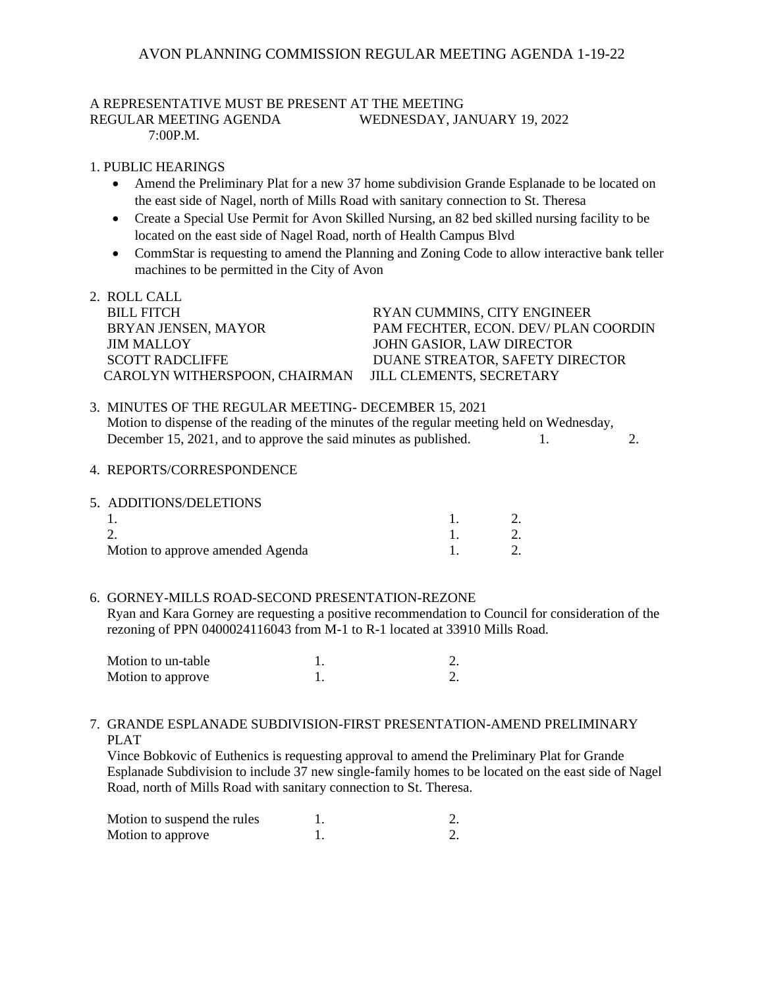# AVON PLANNING COMMISSION REGULAR MEETING AGENDA 1-19-22

# A REPRESENTATIVE MUST BE PRESENT AT THE MEETING REGULAR MEETING AGENDA WEDNESDAY, JANUARY 19, 2022

7:00P.M.

### 1. PUBLIC HEARINGS

- Amend the Preliminary Plat for a new 37 home subdivision Grande Esplanade to be located on the east side of Nagel, north of Mills Road with sanitary connection to St. Theresa
- Create a Special Use Permit for Avon Skilled Nursing, an 82 bed skilled nursing facility to be located on the east side of Nagel Road, north of Health Campus Blvd
- CommStar is requesting to amend the Planning and Zoning Code to allow interactive bank teller machines to be permitted in the City of Avon
- 2. ROLL CALL BILL FITCH RYAN CUMMINS, CITY ENGINEER BRYAN JENSEN, MAYOR PAM FECHTER, ECON. DEV/ PLAN COORDIN JIM MALLOY JOHN GASIOR, LAW DIRECTOR SCOTT RADCLIFFE DUANE STREATOR, SAFETY DIRECTOR CAROLYN WITHERSPOON, CHAIRMAN JILL CLEMENTS, SECRETARY
- 3. MINUTES OF THE REGULAR MEETING- DECEMBER 15, 2021 Motion to dispense of the reading of the minutes of the regular meeting held on Wednesday, December 15, 2021, and to approve the said minutes as published. 1. 2.

#### 4. REPORTS/CORRESPONDENCE

| 5. ADDITIONS/DELETIONS           |  |
|----------------------------------|--|
|                                  |  |
|                                  |  |
| Motion to approve amended Agenda |  |

### 6. GORNEY-MILLS ROAD-SECOND PRESENTATION-REZONE

 Ryan and Kara Gorney are requesting a positive recommendation to Council for consideration of the rezoning of PPN 0400024116043 from M-1 to R-1 located at 33910 Mills Road.

| Motion to un-table |  |
|--------------------|--|
| Motion to approve  |  |

### 7. GRANDE ESPLANADE SUBDIVISION-FIRST PRESENTATION-AMEND PRELIMINARY PLAT

 Vince Bobkovic of Euthenics is requesting approval to amend the Preliminary Plat for Grande Esplanade Subdivision to include 37 new single-family homes to be located on the east side of Nagel Road, north of Mills Road with sanitary connection to St. Theresa.

| Motion to suspend the rules |  |
|-----------------------------|--|
| Motion to approve           |  |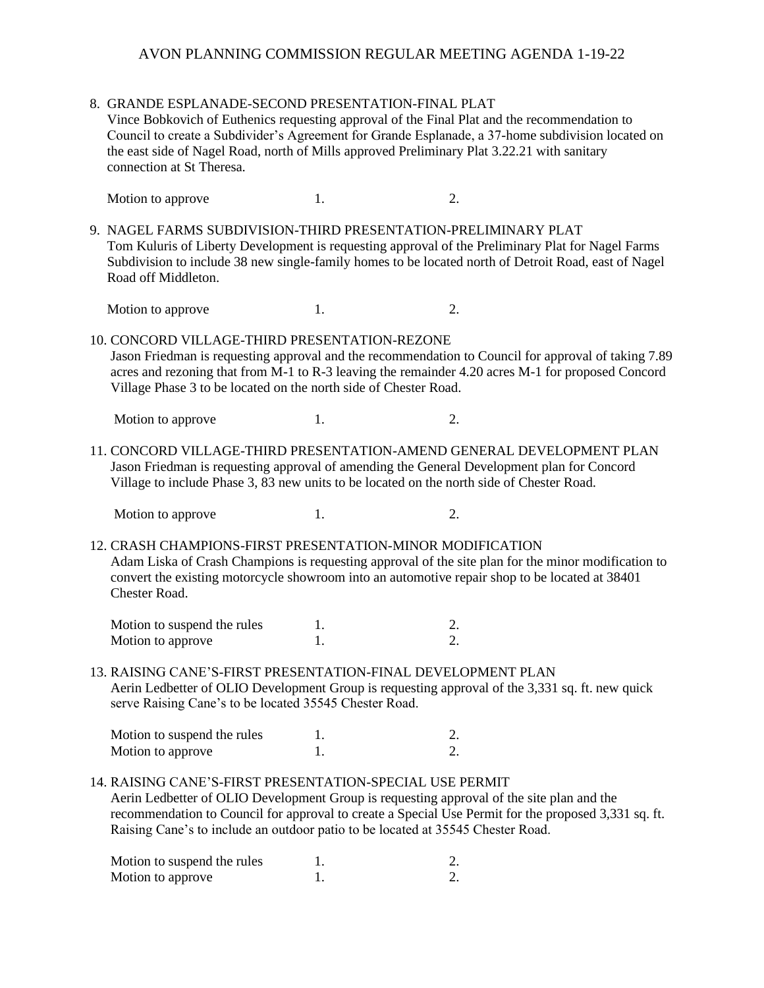# AVON PLANNING COMMISSION REGULAR MEETING AGENDA 1-19-22

|                                                                                                                                                                                                                                                                  | 8. GRANDE ESPLANADE-SECOND PRESENTATION-FINAL PLAT<br>Vince Bobkovich of Euthenics requesting approval of the Final Plat and the recommendation to<br>Council to create a Subdivider's Agreement for Grande Esplanade, a 37-home subdivision located on<br>the east side of Nagel Road, north of Mills approved Preliminary Plat 3.22.21 with sanitary<br>connection at St Theresa. |    |                                                                                                                                                                                                           |  |  |
|------------------------------------------------------------------------------------------------------------------------------------------------------------------------------------------------------------------------------------------------------------------|-------------------------------------------------------------------------------------------------------------------------------------------------------------------------------------------------------------------------------------------------------------------------------------------------------------------------------------------------------------------------------------|----|-----------------------------------------------------------------------------------------------------------------------------------------------------------------------------------------------------------|--|--|
|                                                                                                                                                                                                                                                                  | Motion to approve                                                                                                                                                                                                                                                                                                                                                                   | 1. | 2.                                                                                                                                                                                                        |  |  |
|                                                                                                                                                                                                                                                                  | 9. NAGEL FARMS SUBDIVISION-THIRD PRESENTATION-PRELIMINARY PLAT<br>Road off Middleton.                                                                                                                                                                                                                                                                                               |    | Tom Kuluris of Liberty Development is requesting approval of the Preliminary Plat for Nagel Farms<br>Subdivision to include 38 new single-family homes to be located north of Detroit Road, east of Nagel |  |  |
|                                                                                                                                                                                                                                                                  | Motion to approve                                                                                                                                                                                                                                                                                                                                                                   | 1. | 2.                                                                                                                                                                                                        |  |  |
|                                                                                                                                                                                                                                                                  | 10. CONCORD VILLAGE-THIRD PRESENTATION-REZONE<br>Village Phase 3 to be located on the north side of Chester Road.                                                                                                                                                                                                                                                                   |    | Jason Friedman is requesting approval and the recommendation to Council for approval of taking 7.89<br>acres and rezoning that from M-1 to R-3 leaving the remainder 4.20 acres M-1 for proposed Concord  |  |  |
|                                                                                                                                                                                                                                                                  | Motion to approve                                                                                                                                                                                                                                                                                                                                                                   | 1. | 2.                                                                                                                                                                                                        |  |  |
| 11. CONCORD VILLAGE-THIRD PRESENTATION-AMEND GENERAL DEVELOPMENT PLAN<br>Jason Friedman is requesting approval of amending the General Development plan for Concord<br>Village to include Phase 3, 83 new units to be located on the north side of Chester Road. |                                                                                                                                                                                                                                                                                                                                                                                     |    |                                                                                                                                                                                                           |  |  |
|                                                                                                                                                                                                                                                                  | Motion to approve                                                                                                                                                                                                                                                                                                                                                                   | 1. | 2.                                                                                                                                                                                                        |  |  |
|                                                                                                                                                                                                                                                                  | 12. CRASH CHAMPIONS-FIRST PRESENTATION-MINOR MODIFICATION<br>Chester Road.                                                                                                                                                                                                                                                                                                          |    | Adam Liska of Crash Champions is requesting approval of the site plan for the minor modification to<br>convert the existing motorcycle showroom into an automotive repair shop to be located at 38401     |  |  |
|                                                                                                                                                                                                                                                                  | Motion to suspend the rules                                                                                                                                                                                                                                                                                                                                                         | 1. | 2.                                                                                                                                                                                                        |  |  |
|                                                                                                                                                                                                                                                                  | Motion to approve                                                                                                                                                                                                                                                                                                                                                                   | 1. | 2.                                                                                                                                                                                                        |  |  |
| 13. RAISING CANE'S-FIRST PRESENTATION-FINAL DEVELOPMENT PLAN<br>Aerin Ledbetter of OLIO Development Group is requesting approval of the 3,331 sq. ft. new quick<br>serve Raising Cane's to be located 35545 Chester Road.                                        |                                                                                                                                                                                                                                                                                                                                                                                     |    |                                                                                                                                                                                                           |  |  |
|                                                                                                                                                                                                                                                                  | Motion to suspend the rules                                                                                                                                                                                                                                                                                                                                                         | 1. | 2.                                                                                                                                                                                                        |  |  |
|                                                                                                                                                                                                                                                                  | Motion to approve                                                                                                                                                                                                                                                                                                                                                                   | 1. | $\overline{2}$ .                                                                                                                                                                                          |  |  |
|                                                                                                                                                                                                                                                                  | 14. RAISING CANE'S-FIRST PRESENTATION-SPECIAL USE PERMIT<br>Aerin Ledbetter of OLIO Development Group is requesting approval of the site plan and the<br>Raising Cane's to include an outdoor patio to be located at 35545 Chester Road.                                                                                                                                            |    | recommendation to Council for approval to create a Special Use Permit for the proposed 3,331 sq. ft.                                                                                                      |  |  |
|                                                                                                                                                                                                                                                                  | Motion to suspend the rules                                                                                                                                                                                                                                                                                                                                                         | 1. | 2.                                                                                                                                                                                                        |  |  |
|                                                                                                                                                                                                                                                                  | Motion to approve                                                                                                                                                                                                                                                                                                                                                                   | 1. | 2.                                                                                                                                                                                                        |  |  |